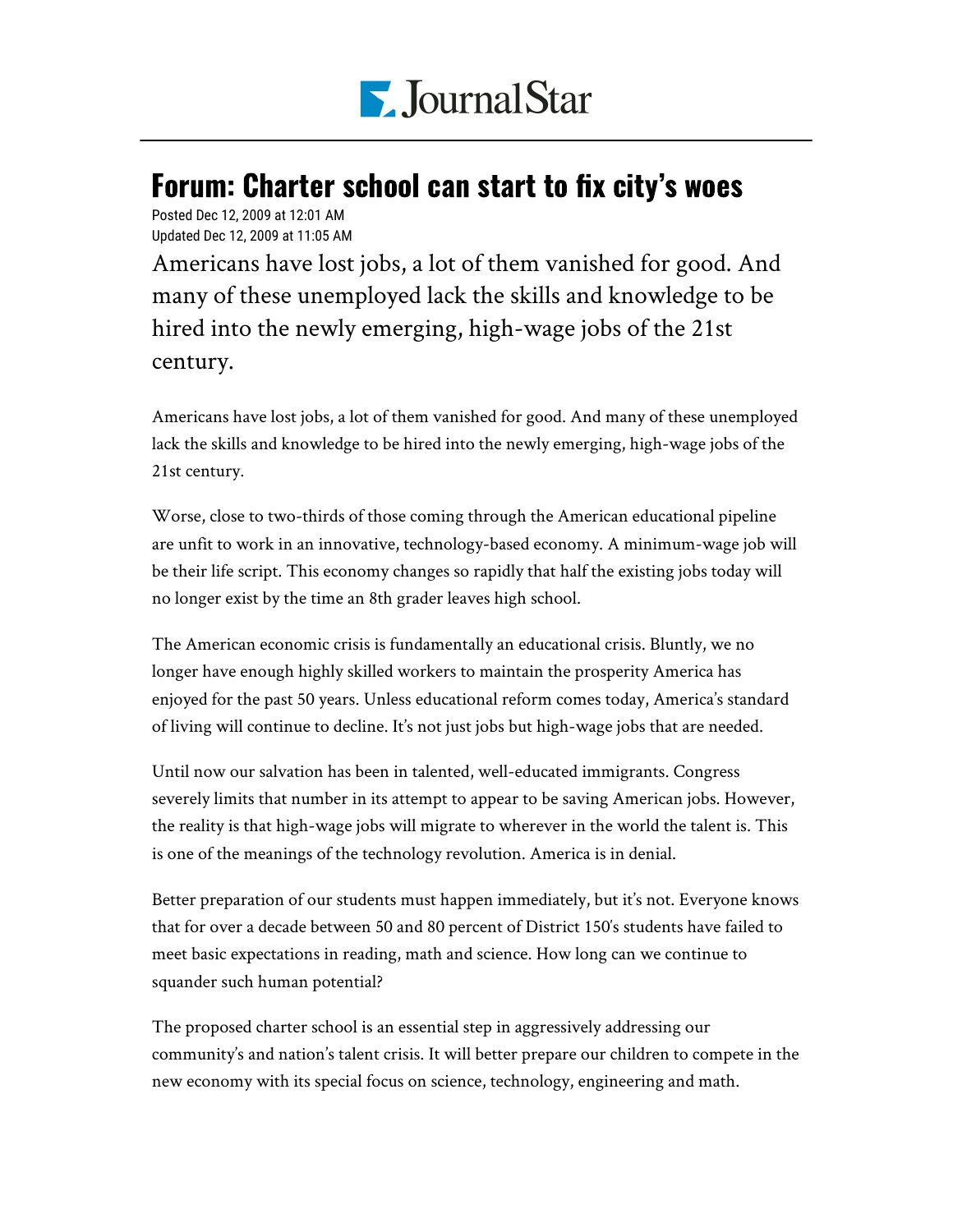

## Forum: Charter school can start to fix city's woes

Posted Dec 12, 2009 at 12:01 AM Updated Dec 12, 2009 at 11:05 AM

Americans have lost jobs, a lot of them vanished for good. And many of these unemployed lack the skills and knowledge to be hired into the newly emerging, high-wage jobs of the 21st century.

Americans have lost jobs, a lot of them vanished for good. And many of these unemployed lack the skills and knowledge to be hired into the newly emerging, high-wage jobs of the 21st century.

Worse, close to two-thirds of those coming through the American educational pipeline are unfit to work in an innovative, technology-based economy. A minimum-wage job will be their life script. This economy changes so rapidly that half the existing jobs today will no longer exist by the time an 8th grader leaves high school.

The American economic crisis is fundamentally an educational crisis. Bluntly, we no longer have enough highly skilled workers to maintain the prosperity America has enjoyed for the past 50 years. Unless educational reform comes today, America's standard of living will continue to decline. It's not just jobs but high-wage jobs that are needed.

Until now our salvation has been in talented, well-educated immigrants. Congress severely limits that number in its attempt to appear to be saving American jobs. However, the reality is that high-wage jobs will migrate to wherever in the world the talent is. This is one of the meanings of the technology revolution. America is in denial.

Better preparation of our students must happen immediately, but it's not. Everyone knows that for over a decade between 50 and 80 percent of District 150′s students have failed to meet basic expectations in reading, math and science. How long can we continue to squander such human potential?

The proposed charter school is an essential step in aggressively addressing our community's and nation's talent crisis. It will better prepare our children to compete in the new economy with its special focus on science, technology, engineering and math.